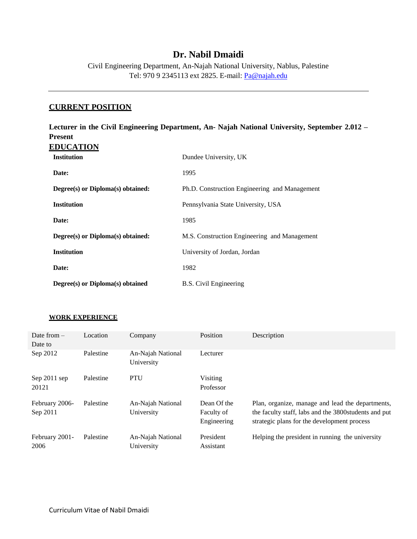# **Dr. Nabil Dmaidi**

Civil Engineering Department, An-Najah National University, Nablus, Palestine Tel: 970 9 2345113 ext 2825. E-mail: [Pa@najah.edu](mailto:Pa@najah.edu)

# **CURRENT POSITION**

# **Lecturer in the Civil Engineering Department, An- Najah National University, September 2.012 – Present EDUCATION**

| <u>.</u><br><b>Institution</b>    | Dundee University, UK                         |
|-----------------------------------|-----------------------------------------------|
| Date:                             | 1995                                          |
| Degree(s) or Diploma(s) obtained: | Ph.D. Construction Engineering and Management |
| <b>Institution</b>                | Pennsylvania State University, USA            |
| Date:                             | 1985                                          |
| Degree(s) or Diploma(s) obtained: | M.S. Construction Engineering and Management  |
| <b>Institution</b>                | University of Jordan, Jordan                  |
| Date:                             | 1982                                          |
| Degree(s) or Diploma(s) obtained  | <b>B.S.</b> Civil Engineering                 |

# **WORK EXPERIENCE**

| Date from $-$<br>Date to   | Location  | Company                         | Position                                 | Description                                                                                                                                              |
|----------------------------|-----------|---------------------------------|------------------------------------------|----------------------------------------------------------------------------------------------------------------------------------------------------------|
| Sep 2012                   | Palestine | An-Najah National<br>University | Lecturer                                 |                                                                                                                                                          |
| Sep 2011 sep<br>20121      | Palestine | PTU                             | Visiting<br>Professor                    |                                                                                                                                                          |
| February 2006-<br>Sep 2011 | Palestine | An-Najah National<br>University | Dean Of the<br>Faculty of<br>Engineering | Plan, organize, manage and lead the departments,<br>the faculty staff, labs and the 3800 students and put<br>strategic plans for the development process |
| February 2001-<br>2006     | Palestine | An-Najah National<br>University | President<br>Assistant                   | Helping the president in running the university                                                                                                          |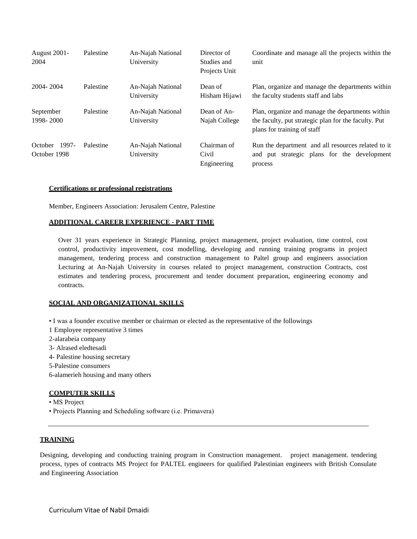| August 2001-<br>2004          | Palestine | An-Najah National<br>University | Director of<br>Studies and<br>Projects Unit | Coordinate and manage all the projects within the<br>unit                                                                               |
|-------------------------------|-----------|---------------------------------|---------------------------------------------|-----------------------------------------------------------------------------------------------------------------------------------------|
| 2004-2004                     | Palestine | An-Najah National<br>University | Dean of<br>Hisham Hijawi                    | Plan, organize and manage the departments within<br>the faculty students staff and labs                                                 |
| September<br>1998-2000        | Palestine | An-Najah National<br>University | Dean of An-<br>Najah College                | Plan, organize and manage the departments within<br>the faculty, put strategic plan for the faculty. Put<br>plans for training of staff |
| October 1997-<br>October 1998 | Palestine | An-Najah National<br>University | Chairman of<br>Civil<br>Engineering         | Run the department and all resources related to it<br>and put strategic plans for the development<br>process                            |

#### **Certifications or professional registrations**

Member, Engineers Association: Jerusalem Centre, Palestine

#### **ADDITIONAL CAREER EXPERIENCE - PART TIME**

Over 31 years experience in Strategic Planning, project management, project evaluation, time control, cost control, productivity improvement, cost modelling, developing and running training programs in project management, tendering process and construction management to Paltel group and engineers association Lecturing at An-Najah University in courses related to project management, construction Contracts, cost estimates and tendering process, procurement and tender document preparation, engineering economy and contracts.

## **SOCIAL AND ORGANIZATIONAL SKILLS**

• I was a founder excutive member or chairman or elected as the representative of the followings

- 1 Employee representative 3 times
- 2-alarabeia company
- 3- Alrased eledtesadi
- 4- Palestine housing secretary
- 5-Palestine consumers

6-alamerieh housing and many others

### **COMPUTER SKILLS**

• MS Project

• Projects Planning and Scheduling software (i.e. Primavera)

### **TRAINING**

Designing, developing and conducting training program in Construction management. project management. tendering process, types of contracts MS Project for PALTEL engineers for qualified Palestinian engineers with British Consulate and Engineering Association